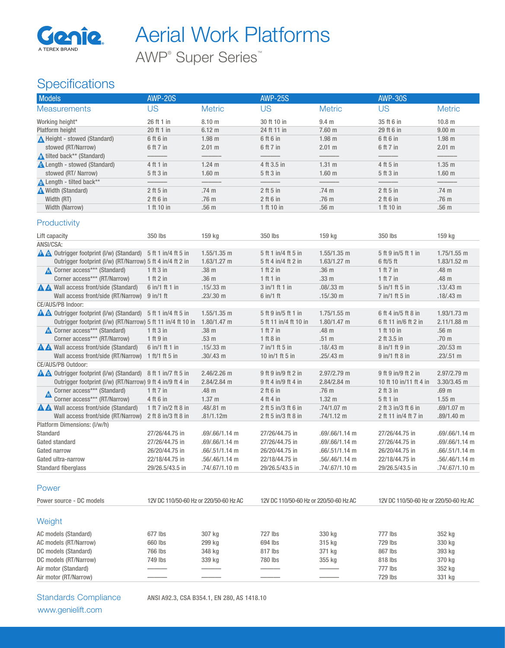

AWP® Super Series™

# **Specifications**

| Models                                                                                                                             | <b>AWP-20S</b>                         |                                | <b>AWP-25S</b>                               |                   | <b>AWP-30S</b>                         |                                |
|------------------------------------------------------------------------------------------------------------------------------------|----------------------------------------|--------------------------------|----------------------------------------------|-------------------|----------------------------------------|--------------------------------|
| <b>Measurements</b>                                                                                                                | <b>US</b>                              | <b>Metric</b>                  | <b>US</b>                                    | <b>Metric</b>     | <b>US</b>                              | <b>Metric</b>                  |
| Working height*                                                                                                                    | 26 ft 1 in                             | 8.10 m                         | 30 ft 10 in                                  | 9.4 <sub>m</sub>  | 35 ft 6 in                             | 10.8 <sub>m</sub>              |
| Platform height                                                                                                                    | 20 ft 1 in                             | 6.12 m                         | 24 ft 11 in                                  | 7.60 m            | 29 ft 6 in                             | 9.00 <sub>m</sub>              |
| A Height - stowed (Standard)                                                                                                       | 6 ft 6 in                              | $1.98$ m                       | 6 ft 6 in                                    | $1.98$ m          | 6 ft 6 in                              | $1.98$ m                       |
| stowed (RT/Narrow)                                                                                                                 | 6 ft 7 in                              | 2.01 m                         | 6 ft 7 in                                    | 2.01 m            | 6 ft 7 in                              | 2.01 m                         |
| <b>A</b> tilted back** (Standard)                                                                                                  |                                        |                                |                                              |                   |                                        |                                |
| <b>A</b> Length - stowed (Standard)                                                                                                | 4 ft 1 in                              | $1.24$ m                       | 4 ft 3.5 in                                  | 1.31 m            | 4 ft 5 in                              | $1.35$ m                       |
| stowed (RT/ Narrow)                                                                                                                | 5 ft 3 in                              | $1.60$ m                       | 5 ft 3 in                                    | $1.60$ m          | 5 ft 3 in                              | 1.60 <sub>m</sub>              |
| Length - tilted back**                                                                                                             |                                        |                                |                                              |                   |                                        |                                |
| Width (Standard)                                                                                                                   | $2$ ft 5 in                            | .74 m                          | $2$ ft 5 in                                  | .74 m             | $2$ ft 5 in                            | .74 m                          |
| Width (RT)                                                                                                                         | $2$ ft 6 in                            | .76 m                          | $2$ ft 6 in                                  | .76 m             | $2$ ft 6 in                            | .76 m                          |
| Width (Narrow)                                                                                                                     | 1 ft 10 in                             | .56 m                          | 1 ft 10 in                                   | .56 m             | 1 ft 10 in                             | .56 m                          |
| Productivity                                                                                                                       |                                        |                                |                                              |                   |                                        |                                |
| Lift capacity                                                                                                                      | 350 lbs                                | 159 kg                         | 350 lbs                                      | 159 kg            | 350 lbs                                | 159 kg                         |
| ANSI/CSA:                                                                                                                          |                                        |                                |                                              |                   |                                        |                                |
| A A Outrigger footprint (I/w) (Standard) 5 ft 1 in/4 ft 5 in                                                                       |                                        | $1.55/1.35$ m                  | 5 ft 1 in/4 ft 5 in                          | $1.55/1.35$ m     | 5 ft 9 in/5 ft 1 in                    | $1.75/1.55$ m                  |
| Outrigger footprint (I/w) (RT/Narrow) 5 ft 4 in/4 ft 2 in                                                                          |                                        | $1.63/1.27$ m                  | 5 ft 4 in/4 ft 2 in                          | $1.63/1.27$ m     | 6 ft/5 ft                              | $1.83/1.52$ m                  |
| Corner access*** (Standard)                                                                                                        | 1 ft 3 in                              | .38 m                          | $1$ ft $2$ in                                | .36 <sub>m</sub>  | 1 ft 7 in                              | .48 m                          |
| Corner access*** (RT/Narrow)                                                                                                       | 1 ft 2 in                              | .36 m                          | 1ft1in                                       | .33 m             | 1 ft $7$ in                            | .48 m                          |
| A Wall access front/side (Standard)                                                                                                | 6 in/1 ft 1 in                         | $.15/.33$ m                    | 3 in/1 ft 1 in                               | .08/.33 m         | $5$ in/1 ft $5$ in                     | $.13/.43$ m                    |
| Wall access front/side (RT/Narrow) 9 in/1 ft                                                                                       |                                        | $.23/.30 \text{ m}$            | $6$ in/1 ft                                  | $.15/.30 \; m$    | 7 in/1 ft 5 in                         | $.18/.43 \, m$                 |
| CE/AUS/PB Indoor:                                                                                                                  |                                        |                                |                                              | $1.75/1.55$ m     | 6 ft 4 in/5 ft 8 in                    |                                |
| <b>A A</b> Outrigger footprint (I/w) (Standard) 5 ft 1 in/4 ft 5 in<br>Outrigger footprint (I/w) (RT/Narrow) 5 ft 11 in/4 ft 10 in |                                        | $1.55/1.35$ m<br>$1.80/1.47$ m | 5 ft 9 in/5 ft 1 in<br>5 ft 11 in/4 ft 10 in | $1.80/1.47$ m     | 6 ft 11 in/6 ft 2 in                   | $1.93/1.73$ m<br>$2.11/1.88$ m |
| Corner access*** (Standard)                                                                                                        | 1 ft 3 in                              | .38 m                          | 1 ft 7 in                                    | .48 m             | 1 ft 10 in                             | .56 m                          |
| Corner access*** (RT/Narrow)                                                                                                       | 1 ft 9 in                              | .53 m                          | 1 ft 8 in                                    | .51 m             | 2 ft 3.5 in                            | .70 m                          |
| A Wall access front/side (Standard)                                                                                                | 6 in/1 ft 1 in                         | .15/.33 m                      | 7 in/1 ft 5 in                               | $.18/.43 \, m$    | 8 in/1 ft 9 in                         | $.20/.53$ m                    |
| Wall access front/side (RT/Narrow)                                                                                                 | 1 ft/1 ft 5 in                         | $.30/.43 \, m$                 | 10 in/1 ft 5 in                              | $.25/.43$ m       | $9$ in/1 ft 8 in                       | $.23/.51$ m                    |
| CE/AUS/PB Outdoor:                                                                                                                 |                                        |                                |                                              |                   |                                        |                                |
| A A Outrigger footprint (I/w) (Standard) 8 ft 1 in/7 ft 5 in                                                                       |                                        | 2.46/2.26 m                    | 9 ft 9 in/9 ft 2 in                          | 2.97/2.79 m       | 9 ft 9 in/9 ft 2 in                    | 2.97/2.79 m                    |
| Outrigger footprint (I/w) (RT/Narrow) 9 ft 4 in/9 ft 4 in                                                                          |                                        | 2.84/2.84 m                    | 9 ft 4 in/9 ft 4 in                          | 2.84/2.84 m       | 10 ft 10 in/11 ft 4 in                 | $3.30/3.45$ m                  |
| Corner access*** (Standard)                                                                                                        | 1 ft 7 in                              | .48 m                          | $2$ ft 6 in                                  | .76 m             | $2$ ft $3$ in                          | .69 m                          |
| Corner access*** (RT/Narrow)                                                                                                       | 4 ft 6 in                              | 1.37 <sub>m</sub>              | 4 ft 4 in                                    | 1.32 <sub>m</sub> | 5 ft 1 in                              | $1.55$ m                       |
| A Wall access front/side (Standard)                                                                                                | 1 ft 7 in/2 ft 8 in                    | .48/.81 m                      | 2 ft 5 in/3 ft 6 in                          | .74/1.07 m        | 2 ft 3 in/3 ft 6 in                    | .69/1.07 m                     |
| Wall access front/side (RT/Narrow) 2 ft 8 in/3 ft 8 in                                                                             |                                        | .81/1.12m                      | 2 ft 5 in/3 ft 8 in                          | .74/1.12 m        | 2 ft 11 in/4 ft 7 in                   | .89/1.40 m                     |
| Platform Dimensions: (I/w/h)                                                                                                       |                                        |                                |                                              |                   |                                        |                                |
| Standard                                                                                                                           | 27/26/44.75 in                         | .69/.66/1.14 m                 | 27/26/44.75 in                               | .69/.66/1.14 m    | 27/26/44.75 in                         | .69/.66/1.14 m                 |
| Gated standard                                                                                                                     | 27/26/44.75 in                         | .69/.66/1.14 m                 | 27/26/44.75 in                               | .69/.66/1.14 m    | 27/26/44.75 in                         | .69/.66/1.14 m                 |
| Gated narrow                                                                                                                       | 26/20/44.75 in                         | .66/.51/1.14 m                 | 26/20/44.75 in                               | .66/.51/1.14 m    | 26/20/44.75 in                         | .66/.51/1.14 m                 |
| Gated ultra-narrow                                                                                                                 | 22/18/44.75 in                         | .56/.46/1.14 m                 | 22/18/44.75 in                               | .56/.46/1.14 m    | 22/18/44.75 in                         | .56/.46/1.14 m                 |
| <b>Standard fiberglass</b>                                                                                                         | 29/26.5/43.5 in                        | .74/.67/1.10 m                 | 29/26.5/43.5 in                              | .74/.67/1.10 m    | 29/26.5/43.5 in                        | .74/.67/1.10 m                 |
| Power                                                                                                                              |                                        |                                |                                              |                   |                                        |                                |
| Power source - DC models                                                                                                           | 12V DC 110/50-60 Hz or 220/50-60 Hz AC |                                | 12V DC 110/50-60 Hz or 220/50-60 Hz AC       |                   | 12V DC 110/50-60 Hz or 220/50-60 Hz AC |                                |
|                                                                                                                                    |                                        |                                |                                              |                   |                                        |                                |
| Weight                                                                                                                             |                                        |                                |                                              |                   |                                        |                                |
| AC models (Standard)                                                                                                               | 677 lbs                                | 307 kg                         | 727 lbs                                      | 330 kg            | 777 lbs                                | 352 kg                         |
| AC models (RT/Narrow)                                                                                                              | 660 lbs                                | 299 kg                         | 694 lbs                                      | 315 kg            | 729 lbs                                | 330 kg                         |
| DC models (Standard)                                                                                                               | 766 lbs                                | 348 kg                         | 817 lbs                                      | 371 kg            | 867 lbs                                | 393 kg                         |
| DC models (RT/Narrow)                                                                                                              | 749 lbs                                | 339 kg                         | 780 lbs                                      | 355 kg            | 818 lbs                                | 370 kg                         |
| Air motor (Standard)                                                                                                               |                                        |                                |                                              |                   | 777 lbs                                | 352 kg                         |
| Air motor (RT/Narrow)                                                                                                              |                                        |                                |                                              |                   | 729 lbs                                | 331 kg                         |

www.genielift.com

Standards Compliance ANSI A92.3, CSA B354.1, EN 280, AS 1418.10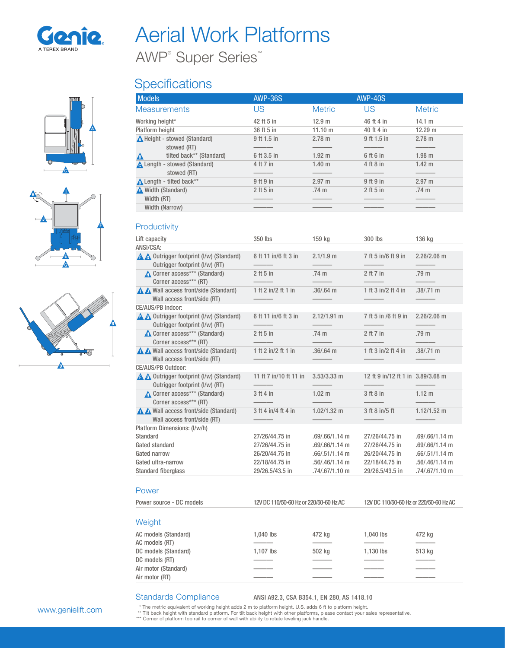

AWP® Super Series™

## **Specifications**

| отош |  |
|------|--|
| ı    |  |
|      |  |





| <b>Models</b>                       | <b>AWP-36S</b> |                   | <b>AWP-40S</b> |                   |
|-------------------------------------|----------------|-------------------|----------------|-------------------|
| <b>Measurements</b>                 | US             | <b>Metric</b>     | US             | <b>Metric</b>     |
| Working height*                     | 42 ft 5 in     | 12.9 m            | 46 ft 4 in     | 14.1 m            |
| Platform height                     | 36 ft 5 in     | 11.10 m           | 40 ft 4 in     | 12.29 m           |
| A Height - stowed (Standard)        | 9 ft 1.5 in    | $2.78 \text{ m}$  | 9 ft 1.5 in    | 2.78 m            |
| stowed (RT)                         |                |                   |                |                   |
| tilted back** (Standard)<br>Δ       | 6 ft 3.5 in    | $1.92 \text{ m}$  | 6 ft 6 in      | $1.98$ m          |
| <b>A</b> Length - stowed (Standard) | 4 ft 7 in      | 1.40 <sub>m</sub> | 4 ft 8 in      | 1.42 <sub>m</sub> |
| stowed (RT)                         |                |                   |                |                   |
| Length - tilted back**              | 9 ft 9 in      | 2.97 m            | 9 ft 9 in      | $2.97 \text{ m}$  |
| A Width (Standard)                  | 2 ft 5 in      | .74 <sub>m</sub>  | $2$ ft 5 in    | .74 <sub>m</sub>  |
| Width (RT)                          |                |                   |                |                   |
| Width (Narrow)                      |                |                   |                |                   |

#### **Productivity**

| Lift capacity                                                              | 350 lbs                                | 159 kg            | 300 lbs                                | 136 kg              |
|----------------------------------------------------------------------------|----------------------------------------|-------------------|----------------------------------------|---------------------|
| ANSI/CSA:                                                                  |                                        |                   |                                        |                     |
| A A Outrigger footprint (I/w) (Standard)<br>Outrigger footprint (I/w) (RT) | 6 ft 11 in/6 ft 3 in                   | $2.1/1.9$ m       | 7 ft 5 in/6 ft 9 in                    | $2.26/2.06$ m       |
| Corner access*** (Standard)<br>Corner access*** (RT)                       | $2$ ft 5 in                            | .74 m             | $2$ ft $7$ in                          | .79 m               |
| A Wall access front/side (Standard)<br>Wall access front/side (RT)         | 1 ft 2 in/2 ft 1 in                    | $.36/.64$ m       | 1 ft 3 in/2 ft 4 in                    | $.38/.71 \text{ m}$ |
| CE/AUS/PB Indoor:                                                          |                                        |                   |                                        |                     |
| A Outrigger footprint (I/w) (Standard)<br>Outrigger footprint (I/w) (RT)   | 6 ft 11 in/6 ft 3 in                   | $2.12/1.91$ m     | 7 ft 5 in /6 ft 9 in                   | $2.26/2.06$ m       |
| Corner access*** (Standard)<br>Corner access*** (RT)                       | $2$ ft 5 in                            | .74 m             | 2 ft 7 in                              | .79 m               |
| A Wall access front/side (Standard)<br>Wall access front/side (RT)         | 1 ft 2 in/2 ft 1 in                    | $.36/.64$ m       | 1 ft 3 in/2 ft 4 in                    | $.38/.71 \text{ m}$ |
| CE/AUS/PB Outdoor:                                                         |                                        |                   |                                        |                     |
| A Outrigger footprint (I/w) (Standard)<br>Outrigger footprint (I/w) (RT)   | 11 ft 7 in/10 ft 11 in                 | $3.53/3.33$ m     | 12 ft 9 in/12 ft 1 in 3.89/3.68 m      |                     |
| Corner access*** (Standard)<br>Corner access*** (RT)                       | 3 ft 4 in                              | 1.02 <sub>m</sub> | 3 ft 8 in                              | 1.12 m              |
| A Wall access front/side (Standard)<br>Wall access front/side (RT)         | 3 ft 4 in/4 ft 4 in                    | $1.02/1.32$ m     | 3 ft 8 in/5 ft                         | $1.12/1.52$ m       |
| Platform Dimensions: (I/w/h)                                               |                                        |                   |                                        |                     |
| Standard                                                                   | 27/26/44.75 in                         | $.69/.66/1.14$ m  | 27/26/44.75 in                         | $.69/.66/1.14$ m    |
| Gated standard                                                             | 27/26/44.75 in                         | .69/.66/1.14 m    | 27/26/44.75 in                         | .69/.66/1.14 m      |
| Gated narrow                                                               | 26/20/44.75 in                         | $.66/.51/1.14$ m  | 26/20/44.75 in                         | $.66/.51/1.14$ m    |
| Gated ultra-narrow                                                         | 22/18/44.75 in                         | .56/.46/1.14 m    | 22/18/44.75 in                         | .56/.46/1.14 m      |
| <b>Standard fiberglass</b>                                                 | 29/26.5/43.5 in                        | .74/.67/1.10 m    | 29/26.5/43.5 in                        | .74/.67/1.10 m      |
| Power                                                                      |                                        |                   |                                        |                     |
| Power source - DC models                                                   | 12V DC 110/50-60 Hz or 220/50-60 Hz AC |                   | 12V DC 110/50-60 Hz or 220/50-60 Hz AC |                     |
| Weight                                                                     |                                        |                   |                                        |                     |
| AC models (Standard)                                                       | 1,040 lbs                              | 472 kg            | 1,040 lbs                              | 472 kg              |
| AC models (RT)                                                             |                                        |                   |                                        |                     |
| DC models (Standard)                                                       | 1,107 lbs                              | 502 kg            | 1,130 lbs                              | 513 kg              |
| DC models (RT)                                                             |                                        |                   |                                        |                     |
|                                                                            |                                        |                   |                                        |                     |
| Air motor (Standard)<br>Air motor (RT)                                     |                                        |                   |                                        |                     |

#### Standards Compliance ANSI A92.3, CSA B354.1, EN 280, AS 1418.10

\* The metric equivalent of working height adds 2 m to platform height. U.S. adds 6 ft to platform height.<br>\*\* Tilt back height with standard platform. For tilt back height with other platforms, please contact your sales rep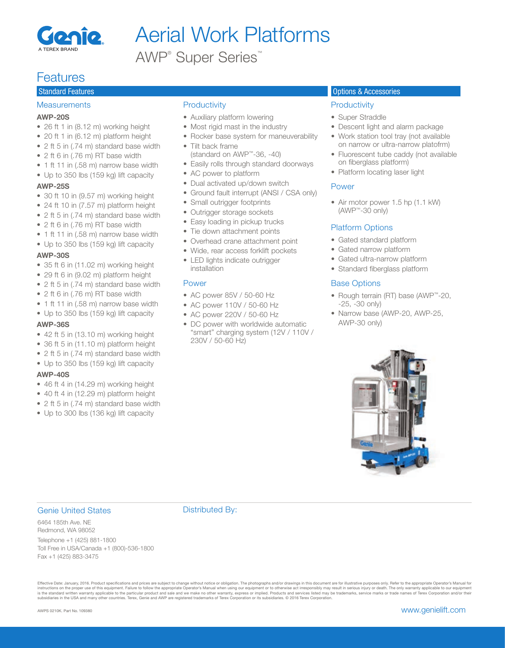

AWP® Super Series™

## **Features**

### **Measurements**

#### AWP-20S

- 26 ft 1 in (8.12 m) working height
- 20 ft 1 in (6.12 m) platform height
- 2 ft 5 in (.74 m) standard base width
- 2 ft 6 in (.76 m) RT base width
- 1 ft 11 in (.58 m) narrow base width
- Up to 350 lbs (159 kg) lift capacity

#### AWP-25S

- 30 ft 10 in (9.57 m) working height
- 24 ft 10 in (7.57 m) platform height
- 2 ft 5 in (.74 m) standard base width
- 2 ft 6 in (.76 m) RT base width
- 1 ft 11 in (.58 m) narrow base width
- Up to 350 lbs (159 kg) lift capacity

#### AWP-30S

- 35 ft 6 in (11.02 m) working height
- 29 ft 6 in (9.02 m) platform height
- 2 ft 5 in (.74 m) standard base width
- 2 ft 6 in (.76 m) RT base width
- 1 ft 11 in (.58 m) narrow base width
- Up to 350 lbs (159 kg) lift capacity

#### AWP-36S

- $\bullet$  42 ft 5 in (13.10 m) working height
- 36 ft 5 in (11.10 m) platform height
- 2 ft 5 in (.74 m) standard base width
- Up to 350 lbs (159 kg) lift capacity

#### AWP-40S

- 46 ft 4 in (14.29 m) working height
- 40 ft 4 in (12.29 m) platform height
- 2 ft 5 in (.74 m) standard base width
- Up to 300 lbs (136 kg) lift capacity

### **Productivity**

- Auxiliary platform lowering
- Most rigid mast in the industry
- Rocker base system for maneuverability
- Tilt back frame
- (standard on AWP™-36, -40)
- Easily rolls through standard doorways
- AC power to platform
- Dual activated up/down switch
- Ground fault interrupt (ANSI / CSA only)
- Small outrigger footprints
- Outrigger storage sockets
- Easy loading in pickup trucks
- Tie down attachment points
- Overhead crane attachment point
- Wide, rear access forklift pockets
- LED lights indicate outrigger installation

#### Power

- AC power 85V / 50-60 Hz
- AC power 110V / 50-60 Hz
- AC power 220V / 50-60 Hz
- DC power with worldwide automatic "smart" charging system (12V / 110V / 230V / 50-60 Hz)

#### **Standard Features Options Accessories** Options & Accessories Options & Accessories Options & Accessories Options **Accessories**

#### **Productivity**

- Super Straddle
- Descent light and alarm package
- Work station tool tray (not available on narrow or ultra-narrow platofrm)
- Fluorescent tube caddy (not available on fiberglass platform)
- Platform locating laser light

#### Power

• Air motor power 1.5 hp (1.1 kW) (AWP™-30 only)

#### Platform Options

- Gated standard platform
- Gated narrow platform
- Gated ultra-narrow platform
- Standard fiberglass platform

#### Base Options

- Rough terrain (RT) base (AWP™-20, -25, -30 only)
- Narrow base (AWP-20, AWP-25, AWP-30 only)



#### Genie United States

Distributed By:

6464 185th Ave. NE Redmond, WA 98052 Telephone +1 (425) 881-1800 Toll Free in USA/Canada +1 (800)-536-1800 Fax +1 (425) 883-3475

Effective Date: January, 2016. Product specifications and prices are subject to change without notice or bbligation. The photographs and/or drawings in this document are for illustrative purposes only. Refer to the appropr is the standard written warranty applicable to the particular product and sale and we make no other warranty, express or implied. Products and services listed may be trademarks, service marks or trade names of Terex Corpor